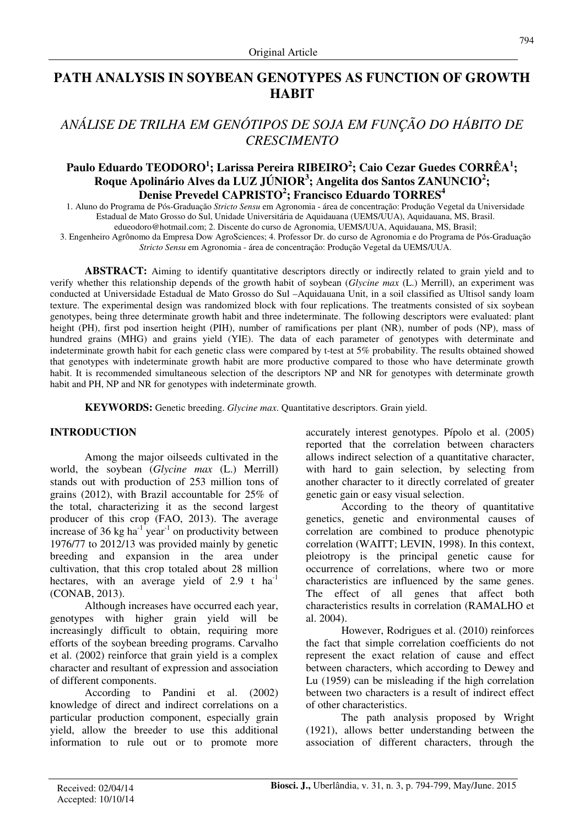## **PATH ANALYSIS IN SOYBEAN GENOTYPES AS FUNCTION OF GROWTH HABIT**

# *ANÁLISE DE TRILHA EM GENÓTIPOS DE SOJA EM FUNÇÃO DO HÁBITO DE CRESCIMENTO*

### **Paulo Eduardo TEODORO<sup>1</sup> ; Larissa Pereira RIBEIRO<sup>2</sup> ; Caio Cezar Guedes CORRÊA<sup>1</sup> ; Roque Apolinário Alves da LUZ JÚNIOR<sup>3</sup> ; Angelita dos Santos ZANUNCIO<sup>2</sup> ; Denise Prevedel CAPRISTO<sup>2</sup> ; Francisco Eduardo TORRES<sup>4</sup>**

1. Aluno do Programa de Pós-Graduação *Stricto Sensu* em Agronomia - área de concentração: Produção Vegetal da Universidade Estadual de Mato Grosso do Sul, Unidade Universitária de Aquidauana (UEMS/UUA), Aquidauana, MS, Brasil.

edueodoro@hotmail.com; 2. Discente do curso de Agronomia, UEMS/UUA, Aquidauana, MS, Brasil;

3. Engenheiro Agrônomo da Empresa Dow AgroSciences; 4. Professor Dr. do curso de Agronomia e do Programa de Pós-Graduação *Stricto Sensu* em Agronomia - área de concentração: Produção Vegetal da UEMS/UUA.

**ABSTRACT:** Aiming to identify quantitative descriptors directly or indirectly related to grain yield and to verify whether this relationship depends of the growth habit of soybean (*Glycine max* (L.) Merrill), an experiment was conducted at Universidade Estadual de Mato Grosso do Sul –Aquidauana Unit, in a soil classified as Ultisol sandy loam texture. The experimental design was randomized block with four replications. The treatments consisted of six soybean genotypes, being three determinate growth habit and three indeterminate. The following descriptors were evaluated: plant height (PH), first pod insertion height (PIH), number of ramifications per plant (NR), number of pods (NP), mass of hundred grains (MHG) and grains yield (YIE). The data of each parameter of genotypes with determinate and indeterminate growth habit for each genetic class were compared by t-test at 5% probability. The results obtained showed that genotypes with indeterminate growth habit are more productive compared to those who have determinate growth habit. It is recommended simultaneous selection of the descriptors NP and NR for genotypes with determinate growth habit and PH, NP and NR for genotypes with indeterminate growth.

**KEYWORDS:** Genetic breeding. *Glycine max*. Quantitative descriptors. Grain yield.

#### **INTRODUCTION**

Among the major oilseeds cultivated in the world, the soybean (*Glycine max* (L.) Merrill) stands out with production of 253 million tons of grains (2012), with Brazil accountable for 25% of the total, characterizing it as the second largest producer of this crop (FAO, 2013). The average increase of 36 kg ha<sup>-1</sup> year<sup>-1</sup> on productivity between 1976/77 to 2012/13 was provided mainly by genetic breeding and expansion in the area under cultivation, that this crop totaled about 28 million hectares, with an average yield of  $2.9$  t ha<sup>-1</sup> (CONAB, 2013).

Although increases have occurred each year, genotypes with higher grain yield will be increasingly difficult to obtain, requiring more efforts of the soybean breeding programs. Carvalho et al. (2002) reinforce that grain yield is a complex character and resultant of expression and association of different components.

According to Pandini et al. (2002) knowledge of direct and indirect correlations on a particular production component, especially grain yield, allow the breeder to use this additional information to rule out or to promote more accurately interest genotypes. Pípolo et al. (2005) reported that the correlation between characters allows indirect selection of a quantitative character, with hard to gain selection, by selecting from another character to it directly correlated of greater genetic gain or easy visual selection.

According to the theory of quantitative genetics, genetic and environmental causes of correlation are combined to produce phenotypic correlation (WAITT; LEVIN, 1998). In this context, pleiotropy is the principal genetic cause for occurrence of correlations, where two or more characteristics are influenced by the same genes. The effect of all genes that affect both characteristics results in correlation (RAMALHO et al. 2004).

However, Rodrigues et al. (2010) reinforces the fact that simple correlation coefficients do not represent the exact relation of cause and effect between characters, which according to Dewey and Lu (1959) can be misleading if the high correlation between two characters is a result of indirect effect of other characteristics.

The path analysis proposed by Wright (1921), allows better understanding between the association of different characters, through the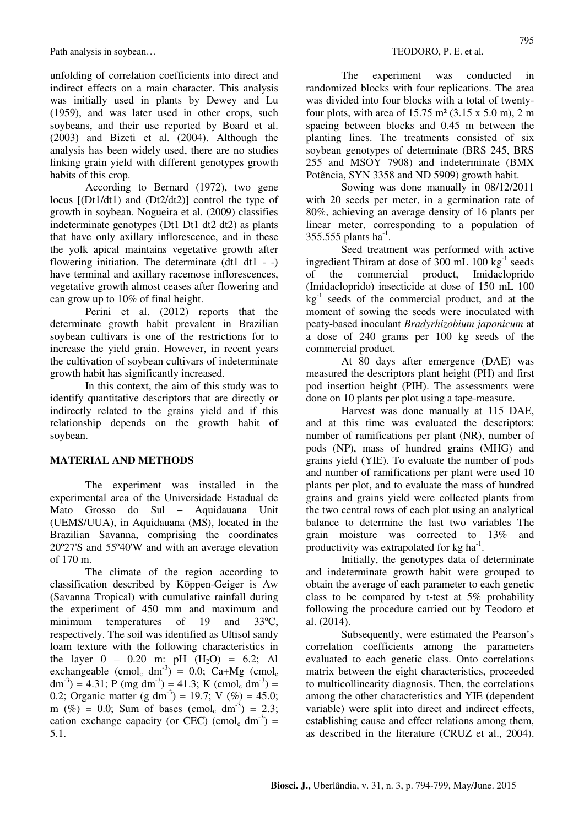Path analysis in soybean...<br>
TEODORO, P. E. et al.

unfolding of correlation coefficients into direct and indirect effects on a main character. This analysis was initially used in plants by Dewey and Lu (1959), and was later used in other crops, such soybeans, and their use reported by Board et al. (2003) and Bizeti et al. (2004). Although the analysis has been widely used, there are no studies linking grain yield with different genotypes growth habits of this crop.

According to Bernard (1972), two gene locus [(Dt1/dt1) and (Dt2/dt2)] control the type of growth in soybean. Nogueira et al. (2009) classifies indeterminate genotypes (Dt1 Dt1 dt2 dt2) as plants that have only axillary inflorescence, and in these the yolk apical maintains vegetative growth after flowering initiation. The determinate  $(dt1 - -)$ have terminal and axillary racemose inflorescences, vegetative growth almost ceases after flowering and can grow up to 10% of final height.

Perini et al. (2012) reports that the determinate growth habit prevalent in Brazilian soybean cultivars is one of the restrictions for to increase the yield grain. However, in recent years the cultivation of soybean cultivars of indeterminate growth habit has significantly increased.

In this context, the aim of this study was to identify quantitative descriptors that are directly or indirectly related to the grains yield and if this relationship depends on the growth habit of soybean.

#### **MATERIAL AND METHODS**

The experiment was installed in the experimental area of the Universidade Estadual de Mato Grosso do Sul – Aquidauana Unit (UEMS/UUA), in Aquidauana (MS), located in the Brazilian Savanna, comprising the coordinates 20º27'S and 55º40'W and with an average elevation of 170 m.

The climate of the region according to classification described by Köppen-Geiger is Aw (Savanna Tropical) with cumulative rainfall during the experiment of 450 mm and maximum and minimum temperatures of 19 and 33°C, respectively. The soil was identified as Ultisol sandy loam texture with the following characteristics in the layer  $0 - 0.20$  m: pH  $(H_2O) = 6.2$ ; Al exchangeable  $\text{(cmol}_c \text{ dm}^3) = 0.0$ ; Ca+Mg  $\text{(cmol}_c$  $dm^{-3}$ ) = 4.31; P (mg dm<sup>-3</sup>) = 41.3; K (cmol<sub>c</sub> dm<sup>-3</sup>) = 0.2; Organic matter (g dm<sup>-3</sup>) = 19.7; V (%) = 45.0; m (%) = 0.0; Sum of bases (cmol<sub>c</sub> dm<sup>-3</sup>) = 2.3; cation exchange capacity (or CEC) (cmol<sub>c</sub> dm<sup>-3</sup>) = 5.1.

The experiment was conducted in randomized blocks with four replications. The area was divided into four blocks with a total of twentyfour plots, with area of 15.75 m² (3.15 x 5.0 m), 2 m spacing between blocks and 0.45 m between the planting lines. The treatments consisted of six soybean genotypes of determinate (BRS 245, BRS 255 and MSOY 7908) and indeterminate (BMX Potência, SYN 3358 and ND 5909) growth habit.

Sowing was done manually in 08/12/2011 with 20 seeds per meter, in a germination rate of 80%, achieving an average density of 16 plants per linear meter, corresponding to a population of 355.555 plants  $ha^{-1}$ .

Seed treatment was performed with active ingredient Thiram at dose of 300 mL  $100 \text{ kg}^{-1}$  seeds of the commercial product, Imidacloprido (Imidacloprido) insecticide at dose of 150 mL 100  $kg<sup>-1</sup>$  seeds of the commercial product, and at the moment of sowing the seeds were inoculated with peaty-based inoculant *Bradyrhizobium japonicum* at a dose of 240 grams per 100 kg seeds of the commercial product.

At 80 days after emergence (DAE) was measured the descriptors plant height (PH) and first pod insertion height (PIH). The assessments were done on 10 plants per plot using a tape-measure.

Harvest was done manually at 115 DAE, and at this time was evaluated the descriptors: number of ramifications per plant (NR), number of pods (NP), mass of hundred grains (MHG) and grains yield (YIE). To evaluate the number of pods and number of ramifications per plant were used 10 plants per plot, and to evaluate the mass of hundred grains and grains yield were collected plants from the two central rows of each plot using an analytical balance to determine the last two variables The grain moisture was corrected to 13% and productivity was extrapolated for  $kg \text{ ha}^{-1}$ .

Initially, the genotypes data of determinate and indeterminate growth habit were grouped to obtain the average of each parameter to each genetic class to be compared by t-test at 5% probability following the procedure carried out by Teodoro et al. (2014).

Subsequently, were estimated the Pearson's correlation coefficients among the parameters evaluated to each genetic class. Onto correlations matrix between the eight characteristics, proceeded to multicollinearity diagnosis. Then, the correlations among the other characteristics and YIE (dependent variable) were split into direct and indirect effects, establishing cause and effect relations among them, as described in the literature (CRUZ et al., 2004).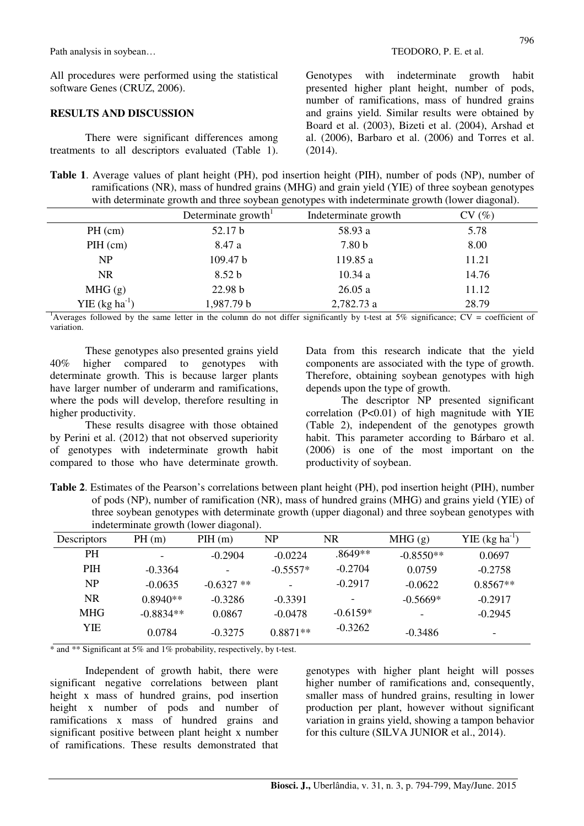All procedures were performed using the statistical software Genes (CRUZ, 2006).

### **RESULTS AND DISCUSSION**

There were significant differences among treatments to all descriptors evaluated (Table 1). Genotypes with indeterminate growth habit presented higher plant height, number of pods, number of ramifications, mass of hundred grains and grains yield. Similar results were obtained by Board et al. (2003), Bizeti et al. (2004), Arshad et al. (2006), Barbaro et al. (2006) and Torres et al. (2014).

**Table 1**. Average values of plant height (PH), pod insertion height (PIH), number of pods (NP), number of ramifications (NR), mass of hundred grains (MHG) and grain yield (YIE) of three soybean genotypes with determinate growth and three soybean genotypes with indeterminate growth (lower diagonal).

|                    | Determinate growth <sup>1</sup> | Indeterminate growth | CV(%) |  |
|--------------------|---------------------------------|----------------------|-------|--|
| $PH$ (cm)          | 52.17 b                         | 58.93 a              | 5.78  |  |
| PH (cm)            | 8.47 a                          | 7.80 <sub>b</sub>    | 8.00  |  |
| NP                 | 109.47 b                        | 119.85 a             | 11.21 |  |
| <b>NR</b>          | 8.52 b                          | 10.34a               | 14.76 |  |
| MHG(g)             | 22.98 b                         | 26.05a               | 11.12 |  |
| YIE $(kg ha^{-1})$ | 1,987.79 b                      | 2,782.73 a           | 28.79 |  |

<sup>1</sup>Averages followed by the same letter in the column do not differ significantly by t-test at 5% significance;  $CV = coefficient of$ variation.

These genotypes also presented grains yield 40% higher compared to genotypes with determinate growth. This is because larger plants have larger number of underarm and ramifications, where the pods will develop, therefore resulting in higher productivity.

These results disagree with those obtained by Perini et al. (2012) that not observed superiority of genotypes with indeterminate growth habit compared to those who have determinate growth. Data from this research indicate that the yield components are associated with the type of growth. Therefore, obtaining soybean genotypes with high depends upon the type of growth.

The descriptor NP presented significant correlation  $(P<0.01)$  of high magnitude with YIE (Table 2), independent of the genotypes growth habit. This parameter according to Bárbaro et al. (2006) is one of the most important on the productivity of soybean.

**Table 2**. Estimates of the Pearson's correlations between plant height (PH), pod insertion height (PIH), number of pods (NP), number of ramification (NR), mass of hundred grains (MHG) and grains yield (YIE) of three soybean genotypes with determinate growth (upper diagonal) and three soybean genotypes with indeterminate growth (lower diagonal).

| Descriptors    | PH(m)       | PH(m)                    | <b>NP</b>  | <b>NR</b>  | MHG(g)      | $YIE$ (kg ha <sup>-1</sup> ) |
|----------------|-------------|--------------------------|------------|------------|-------------|------------------------------|
| <b>PH</b>      |             | $-0.2904$                | $-0.0224$  | .8649**    | $-0.8550**$ | 0.0697                       |
| <b>PIH</b>     | $-0.3364$   | $\overline{\phantom{a}}$ | $-0.5557*$ | $-0.2704$  | 0.0759      | $-0.2758$                    |
| N <sub>P</sub> | $-0.0635$   | $-0.6327$ **             |            | $-0.2917$  | $-0.0622$   | $0.8567**$                   |
| NR.            | $0.8940**$  | $-0.3286$                | $-0.3391$  |            | $-0.5669*$  | $-0.2917$                    |
| <b>MHG</b>     | $-0.8834**$ | 0.0867                   | $-0.0478$  | $-0.6159*$ |             | $-0.2945$                    |
| YIE            | 0.0784      | $-0.3275$                | $0.8871**$ | $-0.3262$  | $-0.3486$   |                              |

\* and \*\* Significant at 5% and 1% probability, respectively, by t-test.

Independent of growth habit, there were significant negative correlations between plant height x mass of hundred grains, pod insertion height x number of pods and number of ramifications x mass of hundred grains and significant positive between plant height x number of ramifications. These results demonstrated that genotypes with higher plant height will posses higher number of ramifications and, consequently, smaller mass of hundred grains, resulting in lower production per plant, however without significant variation in grains yield, showing a tampon behavior for this culture (SILVA JUNIOR et al., 2014).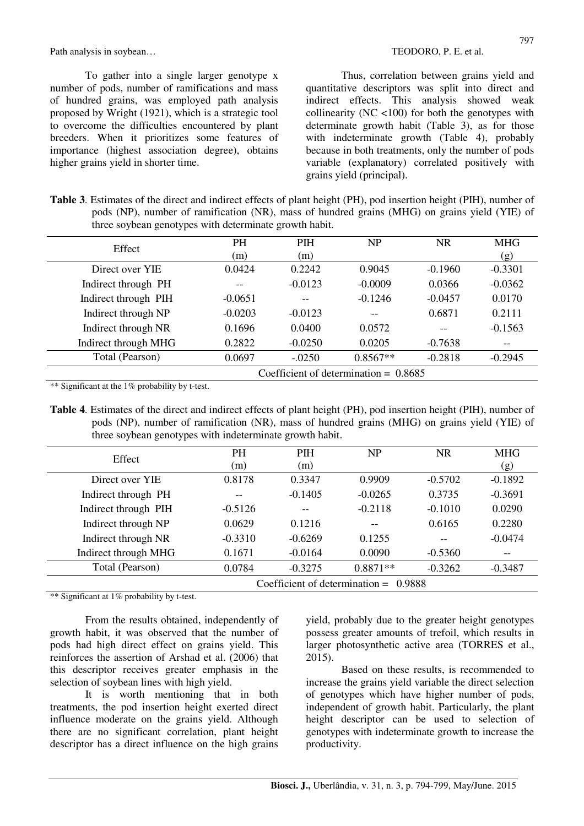Path analysis in soybean...<br>
TEODORO, P. E. et al.

To gather into a single larger genotype x number of pods, number of ramifications and mass of hundred grains, was employed path analysis proposed by Wright (1921), which is a strategic tool to overcome the difficulties encountered by plant breeders. When it prioritizes some features of importance (highest association degree), obtains higher grains yield in shorter time.

Thus, correlation between grains yield and quantitative descriptors was split into direct and indirect effects. This analysis showed weak collinearity ( $NC$  <100) for both the genotypes with determinate growth habit (Table 3), as for those with indeterminate growth (Table 4), probably because in both treatments, only the number of pods variable (explanatory) correlated positively with grains yield (principal).

| <b>Table 3.</b> Estimates of the direct and indirect effects of plant height (PH), pod insertion height (PIH), number of |  |
|--------------------------------------------------------------------------------------------------------------------------|--|
| pods (NP), number of ramification (NR), mass of hundred grains (MHG) on grains yield (YIE) of                            |  |
| three soybean genotypes with determinate growth habit.                                                                   |  |

| Effect               | <b>PH</b><br>(m)                        | <b>PIH</b><br>(m) | NP         | NR.       | <b>MHG</b><br>(g) |  |
|----------------------|-----------------------------------------|-------------------|------------|-----------|-------------------|--|
| Direct over YIE      | 0.0424                                  | 0.2242            | 0.9045     | $-0.1960$ | $-0.3301$         |  |
| Indirect through PH  |                                         | $-0.0123$         | $-0.0009$  | 0.0366    | $-0.0362$         |  |
| Indirect through PIH | $-0.0651$                               |                   | $-0.1246$  | $-0.0457$ | 0.0170            |  |
| Indirect through NP  | $-0.0203$                               | $-0.0123$         | --         | 0.6871    | 0.2111            |  |
| Indirect through NR  | 0.1696                                  | 0.0400            | 0.0572     |           | $-0.1563$         |  |
| Indirect through MHG | 0.2822                                  | $-0.0250$         | 0.0205     | $-0.7638$ | --                |  |
| Total (Pearson)      | 0.0697                                  | $-.0250$          | $0.8567**$ | $-0.2818$ | $-0.2945$         |  |
|                      | Coefficient of determination = $0.8685$ |                   |            |           |                   |  |

\*\* Significant at the 1% probability by t-test.

**Table 4**. Estimates of the direct and indirect effects of plant height (PH), pod insertion height (PIH), number of pods (NP), number of ramification (NR), mass of hundred grains (MHG) on grains yield (YIE) of three soybean genotypes with indeterminate growth habit.

| Effect               | <b>PH</b>                               | <b>PIH</b> | <b>NP</b>  | <b>NR</b> | <b>MHG</b> |  |
|----------------------|-----------------------------------------|------------|------------|-----------|------------|--|
|                      | (m)                                     | (m)        |            |           | (g)        |  |
| Direct over YIE      | 0.8178                                  | 0.3347     | 0.9909     | $-0.5702$ | $-0.1892$  |  |
| Indirect through PH  |                                         | $-0.1405$  | $-0.0265$  | 0.3735    | $-0.3691$  |  |
| Indirect through PIH | $-0.5126$                               |            | $-0.2118$  | $-0.1010$ | 0.0290     |  |
| Indirect through NP  | 0.0629                                  | 0.1216     |            | 0.6165    | 0.2280     |  |
| Indirect through NR  | $-0.3310$                               | $-0.6269$  | 0.1255     | --        | $-0.0474$  |  |
| Indirect through MHG | 0.1671                                  | $-0.0164$  | 0.0090     | $-0.5360$ |            |  |
| Total (Pearson)      | 0.0784                                  | $-0.3275$  | $0.8871**$ | $-0.3262$ | $-0.3487$  |  |
|                      | Coefficient of determination = $0.9888$ |            |            |           |            |  |

\*\* Significant at 1% probability by t-test.

From the results obtained, independently of growth habit, it was observed that the number of pods had high direct effect on grains yield. This reinforces the assertion of Arshad et al. (2006) that this descriptor receives greater emphasis in the selection of soybean lines with high yield.

It is worth mentioning that in both treatments, the pod insertion height exerted direct influence moderate on the grains yield. Although there are no significant correlation, plant height descriptor has a direct influence on the high grains

yield, probably due to the greater height genotypes possess greater amounts of trefoil, which results in larger photosynthetic active area (TORRES et al., 2015).

Based on these results, is recommended to increase the grains yield variable the direct selection of genotypes which have higher number of pods, independent of growth habit. Particularly, the plant height descriptor can be used to selection of genotypes with indeterminate growth to increase the productivity.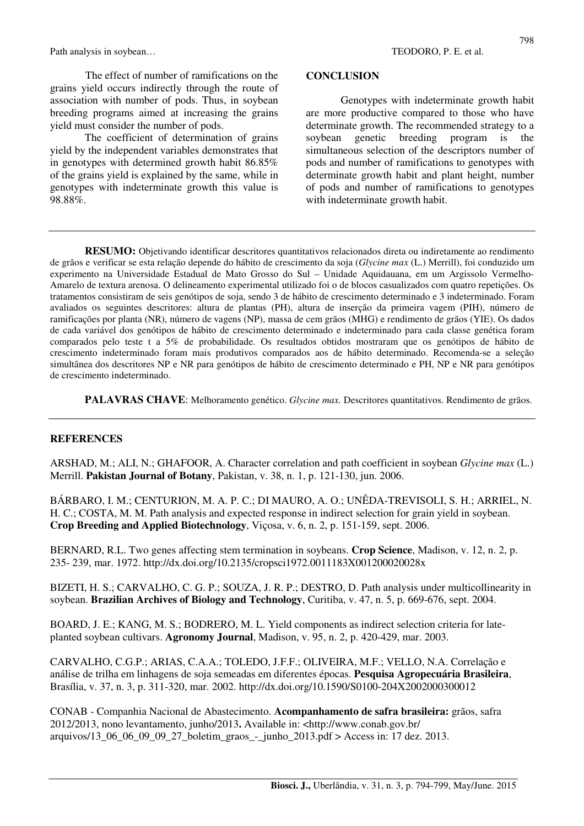Path analysis in soybean...<br>
TEODORO, P. E. et al.

The effect of number of ramifications on the grains yield occurs indirectly through the route of association with number of pods. Thus, in soybean breeding programs aimed at increasing the grains yield must consider the number of pods.

The coefficient of determination of grains yield by the independent variables demonstrates that in genotypes with determined growth habit 86.85% of the grains yield is explained by the same, while in genotypes with indeterminate growth this value is 98.88%.

#### **CONCLUSION**

Genotypes with indeterminate growth habit are more productive compared to those who have determinate growth. The recommended strategy to a soybean genetic breeding program is the simultaneous selection of the descriptors number of pods and number of ramifications to genotypes with determinate growth habit and plant height, number of pods and number of ramifications to genotypes with indeterminate growth habit.

**RESUMO:** Objetivando identificar descritores quantitativos relacionados direta ou indiretamente ao rendimento de grãos e verificar se esta relação depende do hábito de crescimento da soja (*Glycine max* (L.) Merrill), foi conduzido um experimento na Universidade Estadual de Mato Grosso do Sul – Unidade Aquidauana, em um Argissolo Vermelho-Amarelo de textura arenosa. O delineamento experimental utilizado foi o de blocos casualizados com quatro repetições. Os tratamentos consistiram de seis genótipos de soja, sendo 3 de hábito de crescimento determinado e 3 indeterminado. Foram avaliados os seguintes descritores: altura de plantas (PH), altura de inserção da primeira vagem (PIH), número de ramificações por planta (NR), número de vagens (NP), massa de cem grãos (MHG) e rendimento de grãos (YIE). Os dados de cada variável dos genótipos de hábito de crescimento determinado e indeterminado para cada classe genética foram comparados pelo teste t a 5% de probabilidade. Os resultados obtidos mostraram que os genótipos de hábito de crescimento indeterminado foram mais produtivos comparados aos de hábito determinado. Recomenda-se a seleção simultânea dos descritores NP e NR para genótipos de hábito de crescimento determinado e PH, NP e NR para genótipos de crescimento indeterminado.

**PALAVRAS CHAVE**: Melhoramento genético. *Glycine max.* Descritores quantitativos. Rendimento de grãos.

#### **REFERENCES**

ARSHAD, M.; ALI, N.; GHAFOOR, A. Character correlation and path coefficient in soybean *Glycine max* (L.) Merrill. **Pakistan Journal of Botany**, Pakistan, v. 38, n. 1, p. 121-130, jun. 2006.

BÁRBARO, I. M.; CENTURION, M. A. P. C.; DI MAURO, A. O.; UNÊDA-TREVISOLI, S. H.; ARRIEL, N. H. C.; COSTA, M. M. Path analysis and expected response in indirect selection for grain yield in soybean. **Crop Breeding and Applied Biotechnology**, Viçosa, v. 6, n. 2, p. 151-159, sept. 2006.

BERNARD, R.L. Two genes affecting stem termination in soybeans. **Crop Science**, Madison, v. 12, n. 2, p. 235- 239, mar. 1972. http://dx.doi.org/10.2135/cropsci1972.0011183X001200020028x

BIZETI, H. S.; CARVALHO, C. G. P.; SOUZA, J. R. P.; DESTRO, D. Path analysis under multicollinearity in soybean. **Brazilian Archives of Biology and Technology**, Curitiba, v. 47, n. 5, p. 669-676, sept. 2004.

BOARD, J. E.; KANG, M. S.; BODRERO, M. L. Yield components as indirect selection criteria for lateplanted soybean cultivars. **Agronomy Journal**, Madison, v. 95, n. 2, p. 420-429, mar. 2003.

CARVALHO, C.G.P.; ARIAS, C.A.A.; TOLEDO, J.F.F.; OLIVEIRA, M.F.; VELLO, N.A. Correlação e análise de trilha em linhagens de soja semeadas em diferentes épocas. **Pesquisa Agropecuária Brasileira**, Brasília, v. 37, n. 3, p. 311-320, mar. 2002. http://dx.doi.org/10.1590/S0100-204X2002000300012

CONAB - Companhia Nacional de Abastecimento. **Acompanhamento de safra brasileira:** grãos, safra 2012/2013, nono levantamento, junho/2013**.** Available in: <http://www.conab.gov.br/ arquivos/13\_06\_06\_09\_09\_27\_boletim\_graos\_-\_junho\_2013.pdf > Access in: 17 dez. 2013.